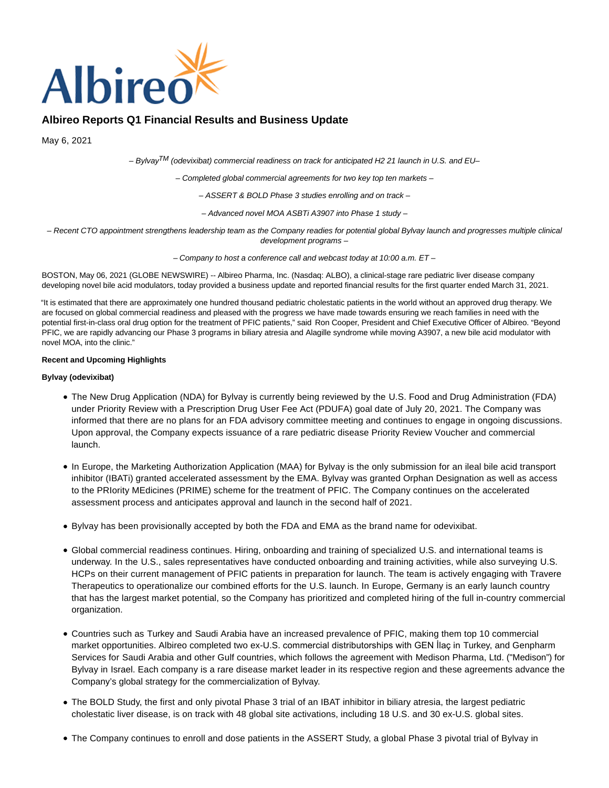

May 6, 2021

 $-$  Bylvay<sup>TM</sup> (odevixibat) commercial readiness on track for anticipated H2 21 launch in U.S. and EU–

– Completed global commercial agreements for two key top ten markets –

– ASSERT & BOLD Phase 3 studies enrolling and on track –

– Advanced novel MOA ASBTi A3907 into Phase 1 study –

– Recent CTO appointment strengthens leadership team as the Company readies for potential global Bylvay launch and progresses multiple clinical development programs –

– Company to host a conference call and webcast today at 10:00 a.m. ET –

BOSTON, May 06, 2021 (GLOBE NEWSWIRE) -- Albireo Pharma, Inc. (Nasdaq: ALBO), a clinical-stage rare pediatric liver disease company developing novel bile acid modulators, today provided a business update and reported financial results for the first quarter ended March 31, 2021.

"It is estimated that there are approximately one hundred thousand pediatric cholestatic patients in the world without an approved drug therapy. We are focused on global commercial readiness and pleased with the progress we have made towards ensuring we reach families in need with the potential first-in-class oral drug option for the treatment of PFIC patients," said Ron Cooper, President and Chief Executive Officer of Albireo. "Beyond PFIC, we are rapidly advancing our Phase 3 programs in biliary atresia and Alagille syndrome while moving A3907, a new bile acid modulator with novel MOA, into the clinic."

## **Recent and Upcoming Highlights**

## **Bylvay (odevixibat)**

- The New Drug Application (NDA) for Bylvay is currently being reviewed by the U.S. Food and Drug Administration (FDA) under Priority Review with a Prescription Drug User Fee Act (PDUFA) goal date of July 20, 2021. The Company was informed that there are no plans for an FDA advisory committee meeting and continues to engage in ongoing discussions. Upon approval, the Company expects issuance of a rare pediatric disease Priority Review Voucher and commercial launch.
- In Europe, the Marketing Authorization Application (MAA) for Bylvay is the only submission for an ileal bile acid transport inhibitor (IBATi) granted accelerated assessment by the EMA. Bylvay was granted Orphan Designation as well as access to the PRIority MEdicines (PRIME) scheme for the treatment of PFIC. The Company continues on the accelerated assessment process and anticipates approval and launch in the second half of 2021.
- Bylvay has been provisionally accepted by both the FDA and EMA as the brand name for odevixibat.
- Global commercial readiness continues. Hiring, onboarding and training of specialized U.S. and international teams is underway. In the U.S., sales representatives have conducted onboarding and training activities, while also surveying U.S. HCPs on their current management of PFIC patients in preparation for launch. The team is actively engaging with Travere Therapeutics to operationalize our combined efforts for the U.S. launch. In Europe, Germany is an early launch country that has the largest market potential, so the Company has prioritized and completed hiring of the full in-country commercial organization.
- Countries such as Turkey and Saudi Arabia have an increased prevalence of PFIC, making them top 10 commercial market opportunities. Albireo completed two ex-U.S. commercial distributorships with GEN İlaç in Turkey, and Genpharm Services for Saudi Arabia and other Gulf countries, which follows the agreement with Medison Pharma, Ltd. ("Medison") for Bylvay in Israel. Each company is a rare disease market leader in its respective region and these agreements advance the Company's global strategy for the commercialization of Bylvay.
- The BOLD Study, the first and only pivotal Phase 3 trial of an IBAT inhibitor in biliary atresia, the largest pediatric cholestatic liver disease, is on track with 48 global site activations, including 18 U.S. and 30 ex-U.S. global sites.
- The Company continues to enroll and dose patients in the ASSERT Study, a global Phase 3 pivotal trial of Bylvay in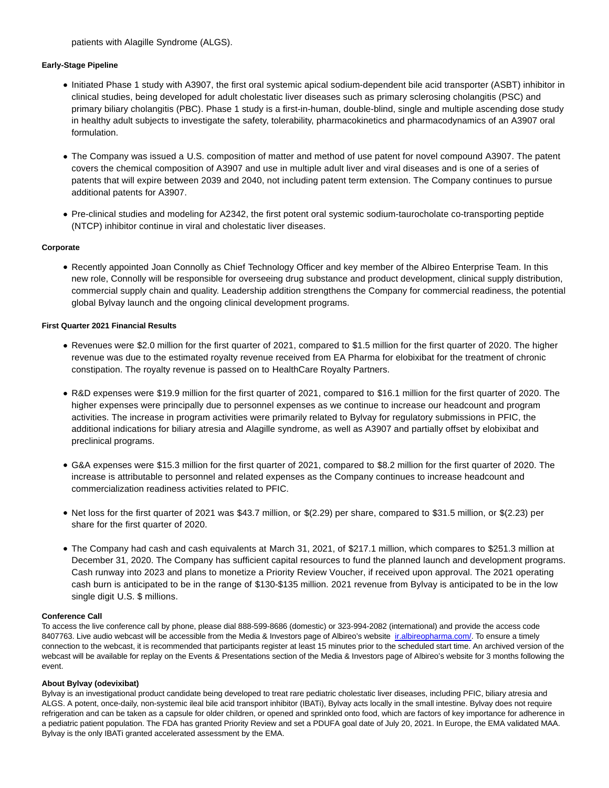patients with Alagille Syndrome (ALGS).

# **Early-Stage Pipeline**

- Initiated Phase 1 study with A3907, the first oral systemic apical sodium-dependent bile acid transporter (ASBT) inhibitor in clinical studies, being developed for adult cholestatic liver diseases such as primary sclerosing cholangitis (PSC) and primary biliary cholangitis (PBC). Phase 1 study is a first-in-human, double-blind, single and multiple ascending dose study in healthy adult subjects to investigate the safety, tolerability, pharmacokinetics and pharmacodynamics of an A3907 oral formulation.
- The Company was issued a U.S. composition of matter and method of use patent for novel compound A3907. The patent covers the chemical composition of A3907 and use in multiple adult liver and viral diseases and is one of a series of patents that will expire between 2039 and 2040, not including patent term extension. The Company continues to pursue additional patents for A3907.
- Pre-clinical studies and modeling for A2342, the first potent oral systemic sodium-taurocholate co-transporting peptide (NTCP) inhibitor continue in viral and cholestatic liver diseases.

# **Corporate**

Recently appointed Joan Connolly as Chief Technology Officer and key member of the Albireo Enterprise Team. In this new role, Connolly will be responsible for overseeing drug substance and product development, clinical supply distribution, commercial supply chain and quality. Leadership addition strengthens the Company for commercial readiness, the potential global Bylvay launch and the ongoing clinical development programs.

# **First Quarter 2021 Financial Results**

- Revenues were \$2.0 million for the first quarter of 2021, compared to \$1.5 million for the first quarter of 2020. The higher revenue was due to the estimated royalty revenue received from EA Pharma for elobixibat for the treatment of chronic constipation. The royalty revenue is passed on to HealthCare Royalty Partners.
- R&D expenses were \$19.9 million for the first quarter of 2021, compared to \$16.1 million for the first quarter of 2020. The higher expenses were principally due to personnel expenses as we continue to increase our headcount and program activities. The increase in program activities were primarily related to Bylvay for regulatory submissions in PFIC, the additional indications for biliary atresia and Alagille syndrome, as well as A3907 and partially offset by elobixibat and preclinical programs.
- G&A expenses were \$15.3 million for the first quarter of 2021, compared to \$8.2 million for the first quarter of 2020. The increase is attributable to personnel and related expenses as the Company continues to increase headcount and commercialization readiness activities related to PFIC.
- Net loss for the first quarter of 2021 was \$43.7 million, or \$(2.29) per share, compared to \$31.5 million, or \$(2.23) per share for the first quarter of 2020.
- The Company had cash and cash equivalents at March 31, 2021, of \$217.1 million, which compares to \$251.3 million at December 31, 2020. The Company has sufficient capital resources to fund the planned launch and development programs. Cash runway into 2023 and plans to monetize a Priority Review Voucher, if received upon approval. The 2021 operating cash burn is anticipated to be in the range of \$130-\$135 million. 2021 revenue from Bylvay is anticipated to be in the low single digit U.S. \$ millions.

# **Conference Call**

To access the live conference call by phone, please dial 888-599-8686 (domestic) or 323-994-2082 (international) and provide the access code 8407763. Live audio webcast will be accessible from the Media & Investors page of Albireo's website [ir.albireopharma.com/.](https://www.globenewswire.com/Tracker?data=ATlvjnM34RIs6WAYyAlgKQTiRCaDJLEx2pXMEwk988_JJrm1d9DtvVAXsv-hG1h62QxTW1HQD34KkhKSbl_96jO1_1lmheR-3uhKLPrcwwc=) To ensure a timely connection to the webcast, it is recommended that participants register at least 15 minutes prior to the scheduled start time. An archived version of the webcast will be available for replay on the Events & Presentations section of the Media & Investors page of Albireo's website for 3 months following the event.

# **About Bylvay (odevixibat)**

Bylvay is an investigational product candidate being developed to treat rare pediatric cholestatic liver diseases, including PFIC, biliary atresia and ALGS. A potent, once-daily, non-systemic ileal bile acid transport inhibitor (IBATi), Bylvay acts locally in the small intestine. Bylvay does not require refrigeration and can be taken as a capsule for older children, or opened and sprinkled onto food, which are factors of key importance for adherence in a pediatric patient population. The FDA has granted Priority Review and set a PDUFA goal date of July 20, 2021. In Europe, the EMA validated MAA. Bylvay is the only IBATi granted accelerated assessment by the EMA.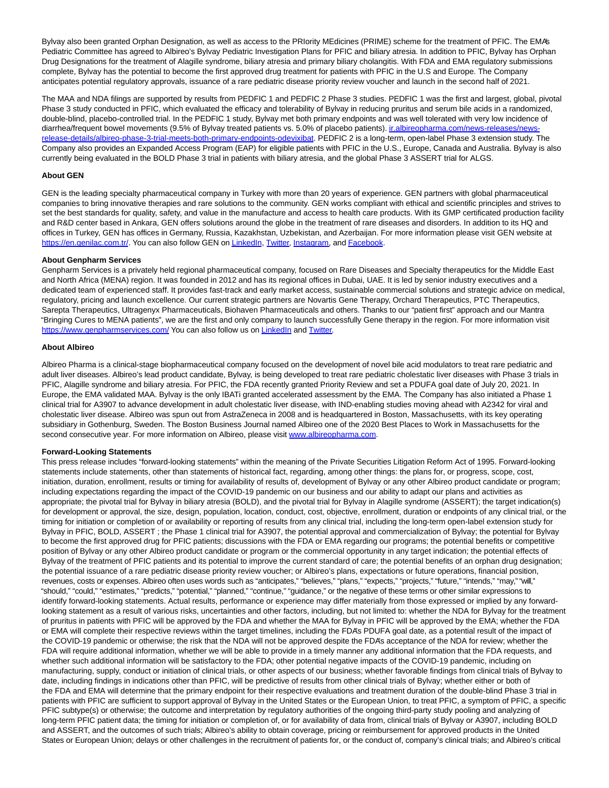Bylvay also been granted Orphan Designation, as well as access to the PRIority MEdicines (PRIME) scheme for the treatment of PFIC. The EMA's Pediatric Committee has agreed to Albireo's Bylvay Pediatric Investigation Plans for PFIC and biliary atresia. In addition to PFIC, Bylvay has Orphan Drug Designations for the treatment of Alagille syndrome, biliary atresia and primary biliary cholangitis. With FDA and EMA regulatory submissions complete, Bylvay has the potential to become the first approved drug treatment for patients with PFIC in the U.S and Europe. The Company anticipates potential regulatory approvals, issuance of a rare pediatric disease priority review voucher and launch in the second half of 2021.

The MAA and NDA filings are supported by results from PEDFIC 1 and PEDFIC 2 Phase 3 studies. PEDFIC 1 was the first and largest, global, pivotal Phase 3 study conducted in PFIC, which evaluated the efficacy and tolerability of Bylvay in reducing pruritus and serum bile acids in a randomized, double-blind, placebo-controlled trial. In the PEDFIC 1 study, Bylvay met both primary endpoints and was well tolerated with very low incidence of diarrhea/frequent bowel movements (9.5% of Bylvay treated patients vs. 5.0% of placebo patients). *ir.albireopharma.com/news-releases/news*release-details/albireo-phase-3-trial-meets-both-primary-endpoints-odevixibat. PEDFIC 2 is a long-term, open-label Phase 3 extension study. The Company also provides an Expanded Access Program (EAP) for eligible patients with PFIC in the U.S., Europe, Canada and Australia. Bylvay is also currently being evaluated in the BOLD Phase 3 trial in patients with biliary atresia, and the global Phase 3 ASSERT trial for ALGS.

### **About GEN**

GEN is the leading specialty pharmaceutical company in Turkey with more than 20 years of experience. GEN partners with global pharmaceutical companies to bring innovative therapies and rare solutions to the community. GEN works compliant with ethical and scientific principles and strives to set the best standards for quality, safety, and value in the manufacture and access to health care products. With its GMP certificated production facility and R&D center based in Ankara, GEN offers solutions around the globe in the treatment of rare diseases and disorders. In addition to its HQ and offices in Turkey, GEN has offices in Germany, Russia, Kazakhstan, Uzbekistan, and Azerbaijan. For more information please visit GEN website at [https://en.genilac.com.tr/.](https://www.globenewswire.com/Tracker?data=JXqf-gYS8oZOoW2APR6vk6pCSNtXE6SN2FaUKKjJKzmGp1txKYRVhdZoHPDbEc3Iu7xjKiyg42Yu2etiIJiHA9bN1zGooW9goN-UdEkYfkI=) You can also follow GEN o[n LinkedIn,](https://www.globenewswire.com/Tracker?data=qD1UpLPB4p2n8vHwo3mxL9hq6f00kwEGBsl-4pO5C8iICQeANgkTZuf8e6hRv1CNjga0KRR26Bp7dbppeECBmYYE01ajdiuTqyQgVYGSy6U=) [Twitter,](https://www.globenewswire.com/Tracker?data=RtWrF67bBrLMtnrdDN9TuAFb2PinvMfiAA19GzEtEe86kbuhpAaPCsOMv1P5OMFBss5LzocR2dLRperukLnMbA==) [Instagram,](https://www.globenewswire.com/Tracker?data=HFhJj0mhHTPIS9MBIeTNYlpXIQbCWejjz1QzhyBBpFTVIbtqgmPH_o5q4yC9rQ9Abw576pYi-SYoj7YDXY5AhNG2ZupGRWymbaUeifS4O2M=) an[d Facebook.](https://www.globenewswire.com/Tracker?data=2uNlmlPIPiKOcsZhBjrFuYcSunNCZq4sbH2Ma_irCmfdkSWtSHqKB7kZ1Z1iMOfNvLy9AtgNtu4hDYlyQPT4F-ctRZA9HVaK6XY2M6fKxN4=)

#### **About Genpharm Services**

Genpharm Services is a privately held regional pharmaceutical company, focused on Rare Diseases and Specialty therapeutics for the Middle East and North Africa (MENA) region. It was founded in 2012 and has its regional offices in Dubai, UAE. It is led by senior industry executives and a dedicated team of experienced staff. It provides fast-track and early market access, sustainable commercial solutions and strategic advice on medical, regulatory, pricing and launch excellence. Our current strategic partners are Novartis Gene Therapy, Orchard Therapeutics, PTC Therapeutics, Sarepta Therapeutics, Ultragenyx Pharmaceuticals, Biohaven Pharmaceuticals and others. Thanks to our "patient first" approach and our Mantra "Bringing Cures to MENA patients", we are the first and only company to launch successfully Gene therapy in the region. For more information visit [https://www.genpharmservices.com/ Y](https://www.globenewswire.com/Tracker?data=JXqf-gYS8oZOoW2APR6vk5hE64DPDfO28v2_4af0GGVQ6kP1kz9FCvBZgkRxNeH8iVw8EEQWfbiIyhxMR-DNmlKiJYtIAVjX4x6FOGhA4jLaZEMHSvW_NIoVclGc4ZTE)ou can also follow us on [LinkedIn a](https://www.globenewswire.com/Tracker?data=qD1UpLPB4p2n8vHwo3mxLxsHf6KpeNXDZZ-mcjmKqCJAKc9yIObNB4S9s2dqk6VPGedNFuaykIE-wzYqveM_MF36v_d_jcmDXy_zZGi2xG8=)nd [Twitter.](https://www.globenewswire.com/Tracker?data=RtWrF67bBrLMtnrdDN9TuIWZNA_8JVBLZXhmtURgwKq-YkEBa0bAh9Qex5tXreKq0md9k68vsrTKl8q-NNv0yg==)

#### **About Albireo**

Albireo Pharma is a clinical-stage biopharmaceutical company focused on the development of novel bile acid modulators to treat rare pediatric and adult liver diseases. Albireo's lead product candidate, Bylvay, is being developed to treat rare pediatric cholestatic liver diseases with Phase 3 trials in PFIC, Alagille syndrome and biliary atresia. For PFIC, the FDA recently granted Priority Review and set a PDUFA goal date of July 20, 2021. In Europe, the EMA validated MAA. Bylvay is the only IBATi granted accelerated assessment by the EMA. The Company has also initiated a Phase 1 clinical trial for A3907 to advance development in adult cholestatic liver disease, with IND-enabling studies moving ahead with A2342 for viral and cholestatic liver disease. Albireo was spun out from AstraZeneca in 2008 and is headquartered in Boston, Massachusetts, with its key operating subsidiary in Gothenburg, Sweden. The Boston Business Journal named Albireo one of the 2020 Best Places to Work in Massachusetts for the second consecutive year. For more information on Albireo, please visit [www.albireopharma.com.](https://www.globenewswire.com/Tracker?data=g19Q1_lT7nNOoQJjofiGVY4Jug0PnLPvw70GHDVrEvqBqrjy2uOvjFY-MtPJ3GphUPeK5a3U_2y9vU7d8HgAyQ5CsoeUC6fdRwtnoZL1j60=)

#### **Forward-Looking Statements**

This press release includes "forward-looking statements" within the meaning of the Private Securities Litigation Reform Act of 1995. Forward-looking statements include statements, other than statements of historical fact, regarding, among other things: the plans for, or progress, scope, cost, initiation, duration, enrollment, results or timing for availability of results of, development of Bylvay or any other Albireo product candidate or program; including expectations regarding the impact of the COVID-19 pandemic on our business and our ability to adapt our plans and activities as appropriate; the pivotal trial for Bylvay in biliary atresia (BOLD), and the pivotal trial for Bylvay in Alagille syndrome (ASSERT); the target indication(s) for development or approval, the size, design, population, location, conduct, cost, objective, enrollment, duration or endpoints of any clinical trial, or the timing for initiation or completion of or availability or reporting of results from any clinical trial, including the long-term open-label extension study for Bylvay in PFIC, BOLD, ASSERT ; the Phase 1 clinical trial for A3907, the potential approval and commercialization of Bylvay; the potential for Bylvay to become the first approved drug for PFIC patients; discussions with the FDA or EMA regarding our programs; the potential benefits or competitive position of Bylvay or any other Albireo product candidate or program or the commercial opportunity in any target indication; the potential effects of Bylvay of the treatment of PFIC patients and its potential to improve the current standard of care; the potential benefits of an orphan drug designation; the potential issuance of a rare pediatric disease priority review voucher; or Albireo's plans, expectations or future operations, financial position, revenues, costs or expenses. Albireo often uses words such as "anticipates," "believes," "plans," "expects," "projects," "future," "intends," "may," "will," "should," "could," "estimates," "predicts," "potential," "planned," "continue," "guidance," or the negative of these terms or other similar expressions to identify forward-looking statements. Actual results, performance or experience may differ materially from those expressed or implied by any forwardlooking statement as a result of various risks, uncertainties and other factors, including, but not limited to: whether the NDA for Bylvay for the treatment of pruritus in patients with PFIC will be approved by the FDA and whether the MAA for Bylvay in PFIC will be approved by the EMA; whether the FDA or EMA will complete their respective reviews within the target timelines, including the FDA's PDUFA goal date, as a potential result of the impact of the COVID-19 pandemic or otherwise; the risk that the NDA will not be approved despite the FDA's acceptance of the NDA for review; whether the FDA will require additional information, whether we will be able to provide in a timely manner any additional information that the FDA requests, and whether such additional information will be satisfactory to the FDA; other potential negative impacts of the COVID-19 pandemic, including on manufacturing, supply, conduct or initiation of clinical trials, or other aspects of our business; whether favorable findings from clinical trials of Bylvay to date, including findings in indications other than PFIC, will be predictive of results from other clinical trials of Bylvay; whether either or both of the FDA and EMA will determine that the primary endpoint for their respective evaluations and treatment duration of the double-blind Phase 3 trial in patients with PFIC are sufficient to support approval of Bylvay in the United States or the European Union, to treat PFIC, a symptom of PFIC, a specific PFIC subtype(s) or otherwise; the outcome and interpretation by regulatory authorities of the ongoing third-party study pooling and analyzing of long-term PFIC patient data; the timing for initiation or completion of, or for availability of data from, clinical trials of Bylvay or A3907, including BOLD and ASSERT, and the outcomes of such trials; Albireo's ability to obtain coverage, pricing or reimbursement for approved products in the United States or European Union; delays or other challenges in the recruitment of patients for, or the conduct of, company's clinical trials; and Albireo's critical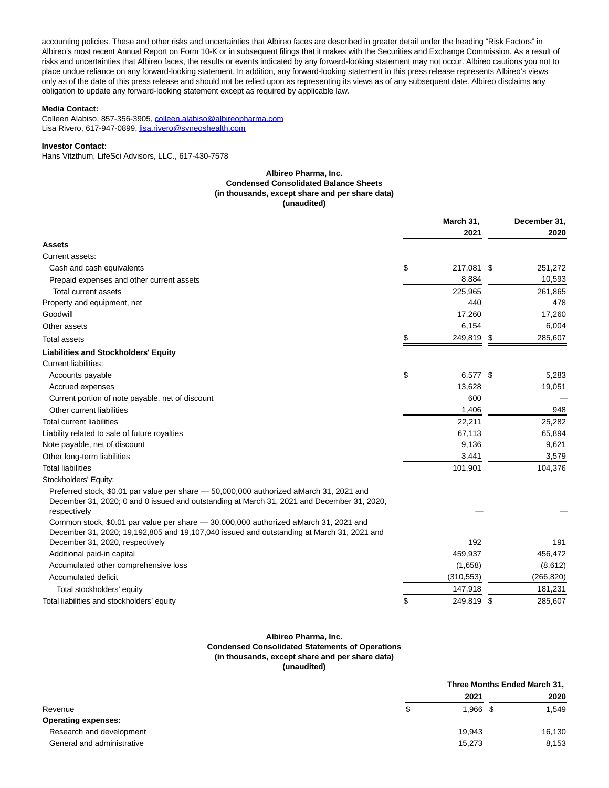accounting policies. These and other risks and uncertainties that Albireo faces are described in greater detail under the heading "Risk Factors" in Albireo's most recent Annual Report on Form 10-K or in subsequent filings that it makes with the Securities and Exchange Commission. As a result of risks and uncertainties that Albireo faces, the results or events indicated by any forward-looking statement may not occur. Albireo cautions you not to place undue reliance on any forward-looking statement. In addition, any forward-looking statement in this press release represents Albireo's views only as of the date of this press release and should not be relied upon as representing its views as of any subsequent date. Albireo disclaims any obligation to update any forward-looking statement except as required by applicable law.

## **Media Contact:**

Colleen Alabiso, 857-356-3905, [colleen.alabiso@albireopharma.com](https://www.globenewswire.com/Tracker?data=V1mMeX5A7XrXRuhN4vGtbSnqbLdWx-ZI8ek1_nK4bOPUoF2LW5lmX9HdhrFe3sQGRTIpudqiuhsL0TXkLZ0LcUDkuOG6lDWtPMeB8ygWYttjH-8JBuRV2CNOOCJm_PtdON1N5pI8xtmcriSUD-JUhw==) Lisa Rivero, 617-947-0899[, lisa.rivero@syneoshealth.com](https://www.globenewswire.com/Tracker?data=hj8ao9kc7ACCDBM5o7aOLV5sf87SEYl8tQN1Z_ROWl5xeKSqDKgUbJJPgCA83tT3sKq808S0bJlXKOmug7jQ5UPcuZv4FijTCOVYGZJ6OmV03_ubWZNVHc7ykJSn7EuI)

#### **Investor Contact:**

Hans Vitzthum, LifeSci Advisors, LLC., 617-430-7578

## **Albireo Pharma, Inc. Condensed Consolidated Balance Sheets (in thousands, except share and per share data) (unaudited)**

|                                                                                                                                                                                                       | March 31,<br>2021 | December 31,<br>2020 |
|-------------------------------------------------------------------------------------------------------------------------------------------------------------------------------------------------------|-------------------|----------------------|
| <b>Assets</b>                                                                                                                                                                                         |                   |                      |
| Current assets:                                                                                                                                                                                       |                   |                      |
| Cash and cash equivalents                                                                                                                                                                             | \$<br>217,081 \$  | 251,272              |
| Prepaid expenses and other current assets                                                                                                                                                             | 8,884             | 10,593               |
| Total current assets                                                                                                                                                                                  | 225,965           | 261,865              |
| Property and equipment, net                                                                                                                                                                           | 440               | 478                  |
| Goodwill                                                                                                                                                                                              | 17,260            | 17,260               |
| Other assets                                                                                                                                                                                          | 6,154             | 6,004                |
| <b>Total assets</b>                                                                                                                                                                                   | \$<br>249,819     | \$<br>285,607        |
| <b>Liabilities and Stockholders' Equity</b>                                                                                                                                                           |                   |                      |
| Current liabilities:                                                                                                                                                                                  |                   |                      |
| Accounts payable                                                                                                                                                                                      | \$<br>$6,577$ \$  | 5,283                |
| Accrued expenses                                                                                                                                                                                      | 13,628            | 19,051               |
| Current portion of note payable, net of discount                                                                                                                                                      | 600               |                      |
| Other current liabilities                                                                                                                                                                             | 1,406             | 948                  |
| <b>Total current liabilities</b>                                                                                                                                                                      | 22,211            | 25,282               |
| Liability related to sale of future royalties                                                                                                                                                         | 67,113            | 65,894               |
| Note payable, net of discount                                                                                                                                                                         | 9,136             | 9,621                |
| Other long-term liabilities                                                                                                                                                                           | 3,441             | 3,579                |
| <b>Total liabilities</b>                                                                                                                                                                              | 101,901           | 104,376              |
| Stockholders' Equity:                                                                                                                                                                                 |                   |                      |
| Preferred stock, \$0.01 par value per share - 50,000,000 authorized aMarch 31, 2021 and<br>December 31, 2020; 0 and 0 issued and outstanding at March 31, 2021 and December 31, 2020,<br>respectively |                   |                      |
| Common stock, \$0.01 par value per share - 30,000,000 authorized aMarch 31, 2021 and<br>December 31, 2020; 19,192,805 and 19,107,040 issued and outstanding at March 31, 2021 and                     |                   |                      |
| December 31, 2020, respectively                                                                                                                                                                       | 192               | 191                  |
| Additional paid-in capital                                                                                                                                                                            | 459,937           | 456,472              |
| Accumulated other comprehensive loss                                                                                                                                                                  | (1,658)           | (8,612)              |
| Accumulated deficit                                                                                                                                                                                   | (310, 553)        | (266, 820)           |
| Total stockholders' equity                                                                                                                                                                            | 147,918           | 181,231              |
| Total liabilities and stockholders' equity                                                                                                                                                            | \$<br>249,819 \$  | 285,607              |

## **Albireo Pharma, Inc. Condensed Consolidated Statements of Operations (in thousands, except share and per share data) (unaudited)**

|                            |    | Three Months Ended March 31, |  |        |
|----------------------------|----|------------------------------|--|--------|
|                            |    | 2021                         |  | 2020   |
| Revenue                    | S. | 1.966 \$                     |  | 1,549  |
| <b>Operating expenses:</b> |    |                              |  |        |
| Research and development   |    | 19.943                       |  | 16,130 |
| General and administrative |    | 15.273                       |  | 8,153  |